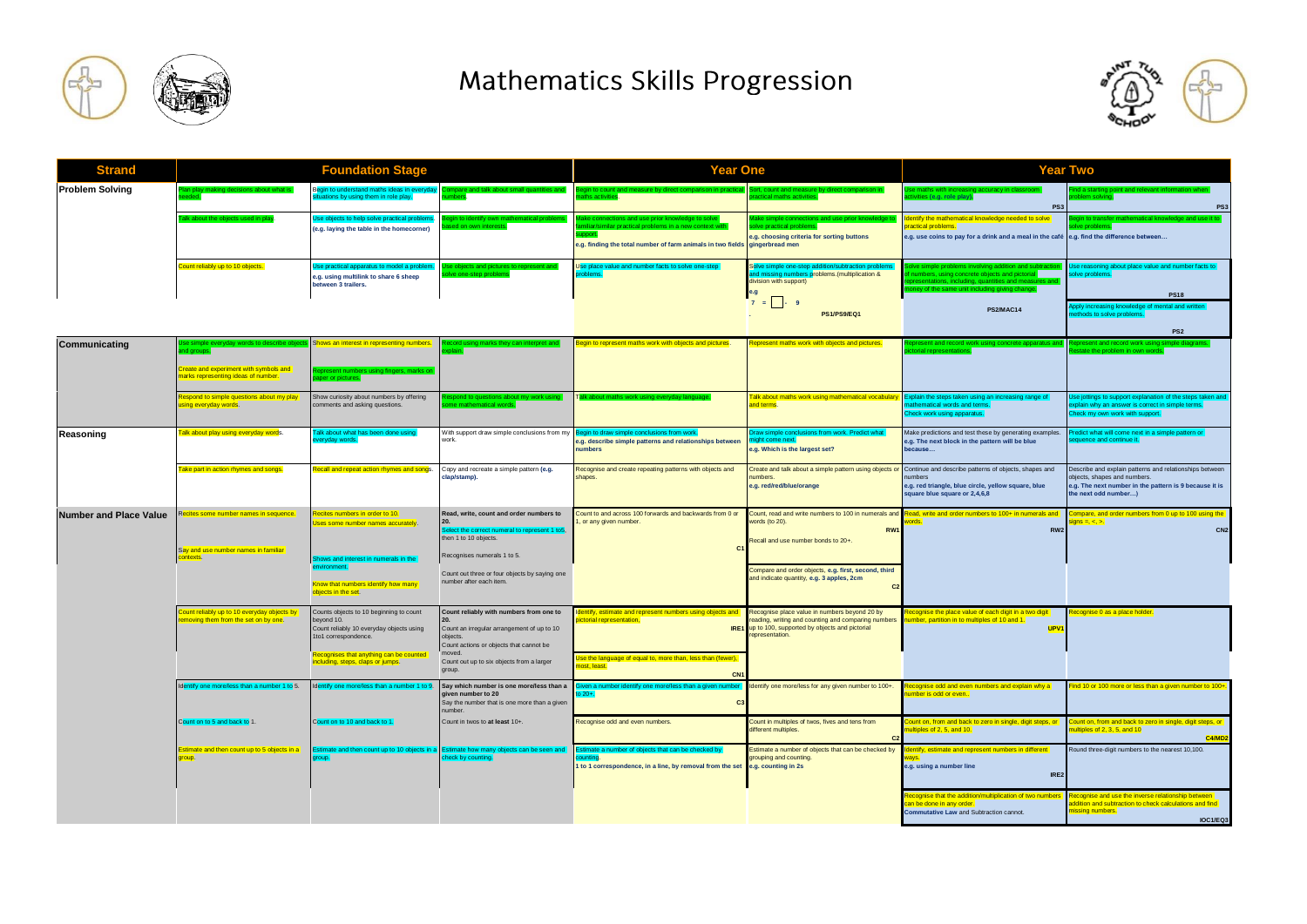

## Mathematics Skills Progression



| <b>Strand</b>                 | <b>Foundation Stage</b>                                                                  |                                                                                                                                                                                                           |                                                                                                                                                                                                     | Year One                                                                                                                                              |                                                                                                                                                                               | Year Two                                                                                                                                                                                                        |                                                                                                                                                                           |
|-------------------------------|------------------------------------------------------------------------------------------|-----------------------------------------------------------------------------------------------------------------------------------------------------------------------------------------------------------|-----------------------------------------------------------------------------------------------------------------------------------------------------------------------------------------------------|-------------------------------------------------------------------------------------------------------------------------------------------------------|-------------------------------------------------------------------------------------------------------------------------------------------------------------------------------|-----------------------------------------------------------------------------------------------------------------------------------------------------------------------------------------------------------------|---------------------------------------------------------------------------------------------------------------------------------------------------------------------------|
| <b>Problem Solving</b>        | an play making decisions about what is                                                   | egin to understand maths ideas in everyd<br>tuations by using them in role play.                                                                                                                          | npare and talk about small quantities and                                                                                                                                                           | Begin to count and measure by direct comparison in pra<br>aths activities.                                                                            | t, count and measure by direct comparison i<br>actical maths activities.                                                                                                      | se maths with increasing accuracy in classroor<br>tivities (e.g. role play).<br>PS3                                                                                                                             | d a starting point and relevant information whe<br>blem solvina.<br>PS:                                                                                                   |
|                               | cabout the objects used in play                                                          | se objects to help solve practical probler<br>(e.g. laying the table in the homecorner)                                                                                                                   | ain to identify own r<br>ed on own interests                                                                                                                                                        | ke connections and use prior knowledge to solve<br>in a new context wi<br><b>TOOOL</b><br>e.g. finding the total number of farm animals in two fields | ve practical problem<br>e.g. choosing criteria for sorting buttons<br>gingerbread men                                                                                         | dentify the mathematical knowledge needed to solve<br>ractical problems.<br>e.g. use coins to pay for a drink and a meal in the café e.g. find the difference between                                           | igin to trans                                                                                                                                                             |
|                               | ount reliably up to 10 objects.                                                          | Ise practical apparatus to model a pr<br>e.g. using multilink to share 6 sheep<br>between 3 trailers.                                                                                                     | se objects and pictures to represent and<br>ve one-step problems                                                                                                                                    | Use place value and number facts to solve one-ste<br>oblems.                                                                                          | Solve simple one-step additi<br>and missing numbers problems. (multiplication &<br>division with support)<br>e.g<br>$7 = 0.9$                                                 | live simple problems involving addition and subtra<br>numbers, using concrete objects and pictorial<br>presentations, including, quantities and measures an<br>ney of the same unit including giving change.    | Use reasoning about place value and number facts to<br>lve problems.<br><b>PS18</b>                                                                                       |
|                               |                                                                                          |                                                                                                                                                                                                           |                                                                                                                                                                                                     |                                                                                                                                                       | <b>PS1/PS9/EQ1</b>                                                                                                                                                            | <b>PS2/MAC14</b>                                                                                                                                                                                                | pply increasing knowledge of mental and written<br>thods to solve problems<br>PS <sub>2</sub>                                                                             |
| Communicating                 | nd aroups<br>reate and experiment with symbols and<br>arks representing ideas of number. | hows an interest in representing numbers<br>epresent numbers<br>aper or pictures.                                                                                                                         |                                                                                                                                                                                                     | egin to represent maths work with objects and pictures.                                                                                               | epresent maths work with objects and pictures.                                                                                                                                | present and record wor<br>ial representations.                                                                                                                                                                  | present and record work using s<br>ate the problem in own words.                                                                                                          |
|                               | espond to simple questions about my play<br>sing everyday words.                         | Show curiosity about numbers by offering<br>comments and asking questions.                                                                                                                                | pond to questions about<br>e mathematical words.                                                                                                                                                    |                                                                                                                                                       | alk about maths work using mathematical vocabular<br>and terms.                                                                                                               | Explain the steps taken using an increasing range of<br>athematical words and terms.<br>Check work using apparatus.                                                                                             | Use jottings to support explanation of the steps taken an<br>cplain why an answer is correct in simple terms.<br>Check my own work with support.                          |
| Reasoning                     | <mark>alk about play using everyday word</mark> s.                                       | alk about what has been done using<br>veryday words.                                                                                                                                                      | With support draw simple conclusions from my<br>work.                                                                                                                                               | Begin to draw simple conclusions from work.<br>e.g. describe simple patterns and relationships between<br>numbers                                     | traw simple conclusions from work. Predict what<br>night come next.<br>e.g. Which is the largest set?                                                                         | Make predictions and test these by generating examples.<br>e.g. The next block in the pattern will be blue<br>because                                                                                           | Predict what will come next in a simple pattern or<br>auence and continue it.                                                                                             |
|                               | ake part in action rhymes and songs.                                                     | lecall and repeat action rhymes and songs.                                                                                                                                                                | Copy and recreate a simple pattern (e.g.<br>:lap/stamp).                                                                                                                                            | Recognise and create repeating patterns with objects and<br>shapes.                                                                                   | umbers.<br>e.g. red/red/blue/orange                                                                                                                                           | Create and talk about a simple pattern using objects or Continue and describe patterns of objects, shapes and<br>umbers<br>e.g. red triangle, blue circle, yellow square, blue<br>square blue square or 2,4,6,8 | Describe and explain patterns and relationships between<br>objects, shapes and numbers.<br>e.g. The next number in the pattern is 9 because it is<br>the next odd number) |
| <b>Number and Place Value</b> | ecites some number names in sequence.                                                    | ecites numbers in order to 10.<br>Ises some number names accurately.                                                                                                                                      | Read, write, count and order numbers to<br>elect the correct numeral to represent 1 to5<br>then 1 to 10 objects.                                                                                    | Count to and across 100 forwards and backwards from 0 or<br>, or any given number.<br>C <sub>1</sub>                                                  | Count, read and write numbers to 100 in numerals and<br>words (to 20).<br>RW1<br>Recall and use number bonds to 20+.                                                          | Read, write and order numbers to 100+ in numerals and<br>RW <sub>2</sub>                                                                                                                                        | ompare, and order numbers from 0 up to 100 using the<br>$\cos = 1$<br>CN <sub>2</sub>                                                                                     |
|                               | Say and use number names in familiar<br>ntexts.                                          | Shows and interest in numerals in the<br>environment.<br>Know that numbers identify how many<br>objects in the set.                                                                                       | Recognises numerals 1 to 5.<br>Count out three or four objects by saying one<br>number after each item.                                                                                             |                                                                                                                                                       | Compare and order objects, e.g. first, second, third<br>and indicate quantity, e.g. 3 apples, 2cm                                                                             |                                                                                                                                                                                                                 |                                                                                                                                                                           |
|                               | ount reliably up to 10 everyday objects by<br>noving them from the set on by one.        | Counts objects to 10 beginning to count<br>bevond 10.<br>Count reliably 10 everyday objects using<br>1to1 correspondence.<br>Recognises that anything can be counted<br>including, steps, claps or jumps. | Count reliably with numbers from one to<br>Count an irregular arrangement of up to 10<br>objects.<br>Count actions or objects that cannot be<br>moved.<br>Count out up to six objects from a larger | dentify, estimate and represent numbers using objects and<br>ictorial representation,<br>Jse the language of equal to, more than, less than (fewer),  | Recognise place value in numbers beyond 20 by<br>reading, writing and counting and comparing numbers<br>IRE1 up to 100, supported by objects and pictorial<br>representation. | ecognise the place value of each digit in a two digit<br>umber, partition in to multiples of 10 and 1.<br><b>UPV</b>                                                                                            | ecognise 0 as a place holder.                                                                                                                                             |
|                               | entify one more/less than a number 1 to 5.                                               | dentify one more/less than a number 1 to 9.                                                                                                                                                               | group.<br>Say which number is one more/less than a                                                                                                                                                  | lost, least.<br>CN <sub>1</sub><br>iven a number identify one more/less than a given number                                                           | Identify one more/less for any given number to 100+.                                                                                                                          | ecognise odd and even numbers and explain why a                                                                                                                                                                 | nd 10 or 100 more or less than a given number to 100+                                                                                                                     |
|                               |                                                                                          |                                                                                                                                                                                                           | given number to 20<br>Say the number that is one more than a given<br>number.                                                                                                                       | $\sim$                                                                                                                                                |                                                                                                                                                                               | umber is odd or even                                                                                                                                                                                            |                                                                                                                                                                           |
|                               | Count on to 5 and back to 1.                                                             | Count on to 10 and back to 1.                                                                                                                                                                             | Count in twos to at least 10+.                                                                                                                                                                      | Recognise odd and even numbers.                                                                                                                       | Count in multiples of twos, fives and tens from<br>different multiples.                                                                                                       | ount on, from and back to zero in single, digit steps, or<br>ltiples of 2, 5, and 10.                                                                                                                           | ount on, from and back to zero in single, digit steps, or<br>ultiples of 2, 3, 5, and 10<br>C4/MD                                                                         |
|                               | stimate and then count up to 5 objects in a<br>roup.                                     | aroup.                                                                                                                                                                                                    | stimate and then count up to 10 objects in a Estimate how many objects can be seen and<br>check by counting.                                                                                        | timate a number of objects that can be checked by<br>nuntina.<br>1 to 1 correspondence, in a line, by removal from the set e.g. counting in 2s        | Estimate a number of objects that can be checked by<br>grouping and counting                                                                                                  | lentify, estimate and represent numbers in different<br>e.g. using a number line<br>IRE <sub>2</sub>                                                                                                            | Round three-digit numbers to the nearest 10,100.                                                                                                                          |
|                               |                                                                                          |                                                                                                                                                                                                           |                                                                                                                                                                                                     |                                                                                                                                                       |                                                                                                                                                                               | ecognise that the addition/multiplication of two numbers<br>an be done in any order.<br>Commutative Law and Subtraction cannot.                                                                                 | ecognise and use the inverse relationship between<br>ddition and subtraction to check calculations and find<br>issing numbers.<br>IOC1/EQ3                                |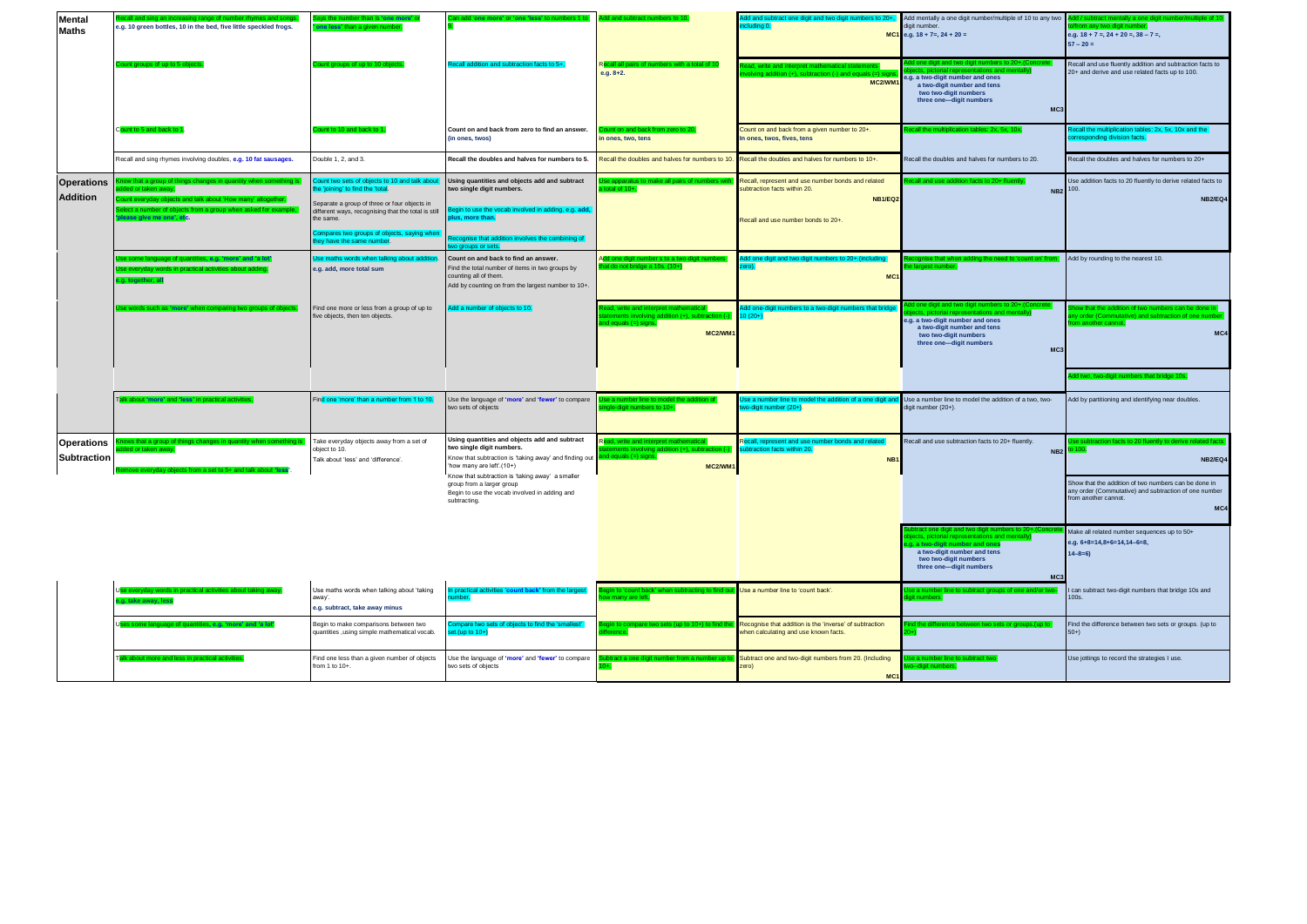| <b>Mental</b><br><b>Maths</b>           | call and sing an increasing range of number rhymes and songs<br>e.g. 10 green bottles, 10 in the bed, five little speckled frogs.                                                                | ays the number than is 'one more' o<br>ne less' than a given n                                                                                                                                                                                                                 | dd 'one more' or 'one 'less' to numbers 1                                                                                                                                                                                                                                                                          | dd and subtract numbers to 1                                                                                              | Add and subtract one digit and two digit numbers to 20+,<br>cludina 0.                                                                     | Add mentally a one digit number/multiple of 10 to any two<br>digit number.<br>MC1 e.g. $18 + 7 =$ , $24 + 20 =$                                                                                                          | ld / subtract mentally a one digi<br>rom any two digit number<br>e.g. $18 + 7 = 24 + 20 = 38 - 7 = 1$<br>$57 - 20 =$                                          |
|-----------------------------------------|--------------------------------------------------------------------------------------------------------------------------------------------------------------------------------------------------|--------------------------------------------------------------------------------------------------------------------------------------------------------------------------------------------------------------------------------------------------------------------------------|--------------------------------------------------------------------------------------------------------------------------------------------------------------------------------------------------------------------------------------------------------------------------------------------------------------------|---------------------------------------------------------------------------------------------------------------------------|--------------------------------------------------------------------------------------------------------------------------------------------|--------------------------------------------------------------------------------------------------------------------------------------------------------------------------------------------------------------------------|---------------------------------------------------------------------------------------------------------------------------------------------------------------|
|                                         | ount aroups of up to 5 a                                                                                                                                                                         | unt aroups of up to 10 o                                                                                                                                                                                                                                                       | ecall addition and subtraction facts to 5                                                                                                                                                                                                                                                                          | Recall all pairs of numbers with a total of<br>$e.g. 8+2.$                                                                | ad, write and interpret mathematical stateme<br>MC2/WM1                                                                                    | ).+10 digit and two digit numbers to 20<br>ions and mentally)<br>e.g. a two-digit number and ones<br>a two-digit number and tens<br>two two-digit numbers<br>three one-digit numbers<br>MC <sub>3</sub>                  | Recall and use fluently addition and subtraction facts to<br>20+ and derive and use related facts up to 100.                                                  |
|                                         | C <mark>ount to 5 and back to</mark>                                                                                                                                                             | ount to 10 and back to 1                                                                                                                                                                                                                                                       | Count on and back from zero to find an answer.<br>(in ones, twos)                                                                                                                                                                                                                                                  | ount on and back from zero to 2<br>in ones, two, tens                                                                     | Count on and back from a given number to 20+.<br>In ones, twos, fives, tens                                                                | call the multiplication tables: 2x, 5x, 10x.                                                                                                                                                                             | ecall the multiplication tables: 2x, 5x, 10x and the<br>prresponding division facts.                                                                          |
|                                         | Recall and sing rhymes involving doubles, e.g. 10 fat sausages.                                                                                                                                  | Double 1, 2, and 3.                                                                                                                                                                                                                                                            | Recall the doubles and halves for numbers to 5.                                                                                                                                                                                                                                                                    | Recall the doubles and halves for numbers to 10.                                                                          | Recall the doubles and halves for numbers to 10+.                                                                                          | Recall the doubles and halves for numbers to 20.                                                                                                                                                                         | Recall the doubles and halves for numbers to 20+                                                                                                              |
| <b>Operations</b><br><b>Addition</b>    | ow that a group of things<br>led or taken away.<br>everyday objects and talk about 'How many' altogeth<br>lect a number of objects from a group when asked for examp<br>lease give me one', etc. | ount two sets of objects to 10 and talk about<br>he 'joining' to find the 'total.<br>Separate a group of three or four objects in<br>different ways, recognising that the total is still<br>he same.<br>ompares two groups of objects, saying wher<br>ey have the same number. | Using quantities and objects add and subtract<br>two single digit numbers.<br>legin to use the vocab involved in adding, e.g. add,<br>lus, more than.<br>cognise that addition involves the combining of<br>vo groups or sets.                                                                                     | se apparatus<br>total of $10+$ .                                                                                          | Recall, represent and use number bonds and related<br>subtraction facts within 20.<br><b>NB1/EQ2</b><br>Recall and use number bonds to 20+ | NB <sub>2</sub>                                                                                                                                                                                                          | Use addition facts to 20 fluently to derive related facts to<br>100.<br>NB2/EQ4                                                                               |
|                                         | e some language of quantities, e.g. 'more' and 'a lot'<br>Ise everyday words in practical activities about adding<br>a, together, al                                                             | se maths words when talking about addition<br>e.g. add, more total sum                                                                                                                                                                                                         | Count on and back to find an answer.<br>Find the total number of items in two groups by<br>counting all of them.<br>Add by counting on from the largest number to 10+.                                                                                                                                             | dd one digit n<br>not bridge a 10s. (10+)                                                                                 | MC <sub>1</sub>                                                                                                                            |                                                                                                                                                                                                                          | Add by rounding to the nearest 10.                                                                                                                            |
|                                         | e words such as 'more' when comparing two groups of object                                                                                                                                       | ind one more or less from a group of up to<br>ive objects, then ten objects.                                                                                                                                                                                                   | Add a number of objects to 10.                                                                                                                                                                                                                                                                                     | ad, write and interpret mathematical<br>tements involving addition (+), subtraction<br>$d$ equals $(=)$ signs.<br>MC2/WM1 | dd one-digit numbers to a two-digit numbers that bride<br>$10(20+)$                                                                        | ine and montally<br>e.g. a two-digit number and ones<br>a two-digit number and tens<br>two two-digit numbers<br>three one-digit numbers<br>MC <sub>3</sub>                                                               | ow that the addition of two numbers can be done in<br>iny order (Commutative) and subtraction of one numbe<br>m another cannot.<br>MC4                        |
|                                         | lalk about 'more' and 'less' in practical activitie                                                                                                                                              | ind one 'more' than a number from 1 to 10.                                                                                                                                                                                                                                     | Jse the language of 'more' and 'fewer' to compare<br>two sets of objects                                                                                                                                                                                                                                           | se a number line to model the addition of<br>gle-digit numbers to 10+.                                                    | Ise a number line to model the addition of a one digit and<br>vo-digit number (20+).                                                       | Use a number line to model the addition of a two, two-<br>digit number (20+).                                                                                                                                            | Add by partitioning and identifying near doubles.                                                                                                             |
| <b>Operations</b><br><b>Subtraction</b> | ows that a group of<br>ded or taken away.                                                                                                                                                        | Take everyday objects away from a set of<br>obiect to 10.<br>Talk about 'less' and 'difference'.                                                                                                                                                                               | Using quantities and objects add and subtract<br>two single digit numbers.<br>Know that subtraction is 'taking away' and finding out<br>how many are left'.(10+)<br>Know that subtraction is 'taking away' a smaller<br>group from a larger group<br>Begin to use the vocab involved in adding and<br>subtracting. | Read, write and interpret mathematical<br>tements involving addition (+), subtraction (<br>d equals (=) signs.<br>MC2/WM1 | Recall, represent and use number bonds and related<br>subtraction facts within 20.<br>NB <sub>1</sub>                                      | Recall and use subtraction facts to 20+ fluently.<br>NB <sub>2</sub>                                                                                                                                                     | <b>NB2/EQ4</b><br>Show that the addition of two numbers can be done in<br>any order (Commutative) and subtraction of one number<br>rom another cannot.<br>MC4 |
|                                         |                                                                                                                                                                                                  |                                                                                                                                                                                                                                                                                |                                                                                                                                                                                                                                                                                                                    |                                                                                                                           |                                                                                                                                            | tract one digit and two digit numbers to 20<br>ects, pictorial representations and mentally)<br>j. a two-digit number and ones<br>a two-digit number and tens<br>two two-digit numbers<br>three one-digit numbers<br>MC: | Make all related number sequences up to 50+<br>e.g. 6+8=14,8+6=14,14-6=8,<br>$14 - 8 = 6$                                                                     |
|                                         | g, take away, les                                                                                                                                                                                | Use maths words when talking about 'taking<br>away'.<br>e.g. subtract, take away minus                                                                                                                                                                                         | ities 'count back' from the large<br>n practical act<br>umber.                                                                                                                                                                                                                                                     | ain to 'count ba<br>w many are left.                                                                                      | Use a number line to 'count back'.                                                                                                         | se a number line to subtract groups of one and<br>igit numbers.                                                                                                                                                          | I can subtract two-digit numbers that bridge 10s and<br>100s.                                                                                                 |
|                                         | Jses some language of quantities, e.g. 'more' and 'a lot                                                                                                                                         | Begin to make comparisons between two<br>quantities ,using simple mathematical vocab.                                                                                                                                                                                          | ompare two sets of objects to find the 'smallest'<br>et.(up to 10+)                                                                                                                                                                                                                                                | ain to compare two sets (up to 10+) to find t                                                                             | Recognise that addition is the 'inverse' of subtraction<br>when calculating and use known facts.                                           | d the difference between two sets or groups.(up to                                                                                                                                                                       | Find the difference between two sets or groups. (up to<br>$50+$                                                                                               |
|                                         | alk about more and less in practical activitie                                                                                                                                                   | Find one less than a given number of objects<br>rom 1 to 10+.                                                                                                                                                                                                                  | Jse the language of 'more' and 'fewer' to compare<br>two sets of objects                                                                                                                                                                                                                                           |                                                                                                                           | Subtract one and two-digit numbers from 20. (Including<br>zero)<br>MC <sub>1</sub>                                                         | ne to subtract two                                                                                                                                                                                                       | Use jottings to record the strategies I use.                                                                                                                  |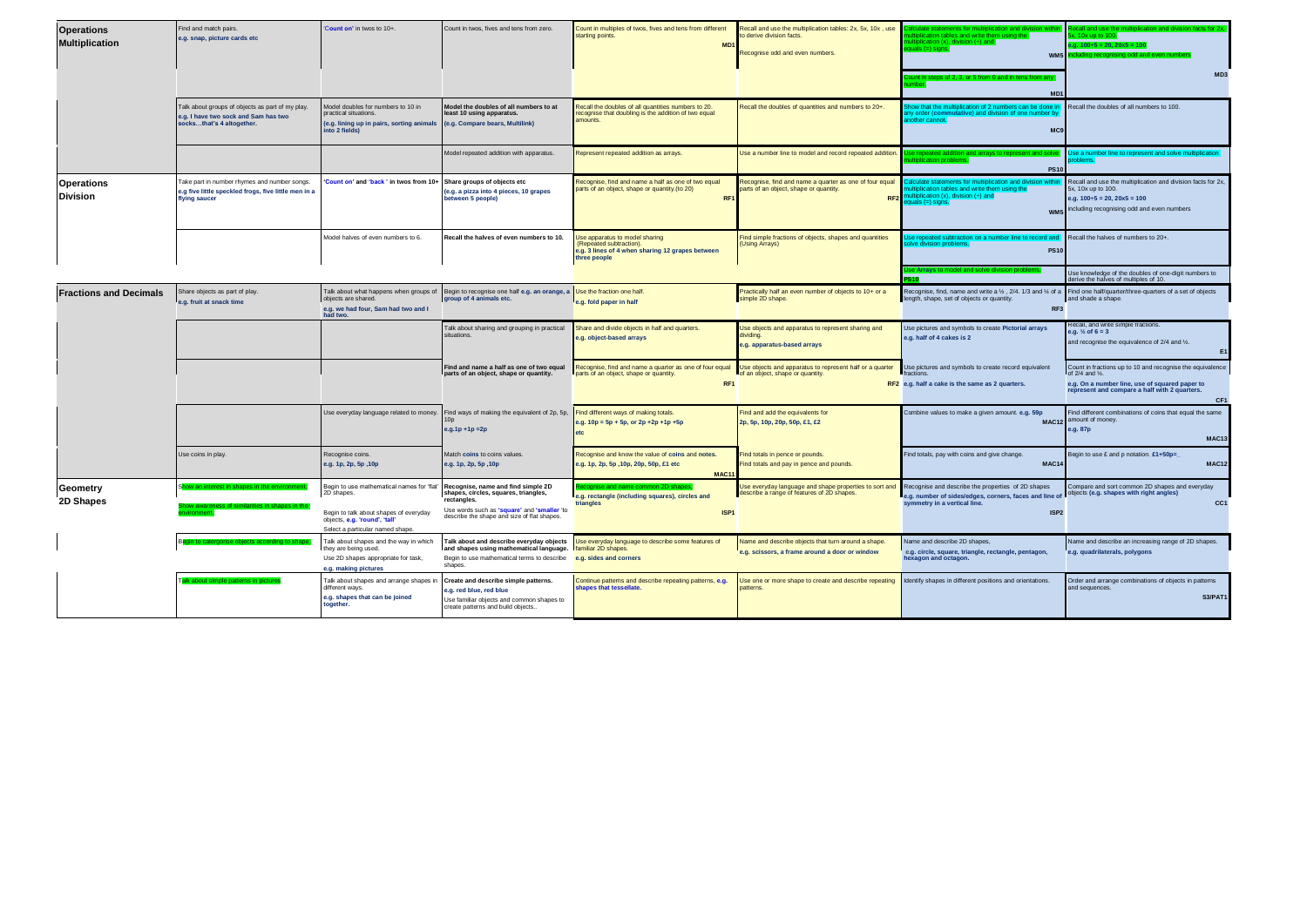| <b>Operations</b><br><b>Multiplication</b> | Find and match pairs.<br>e.g. snap, picture cards etc                                                                 | Count on' in twos to 10+.                                                                                                     | Count in twos, fives and tens from zero.                                                                                                          | Count in multiples of twos, fives and tens from different<br>starting points.<br>M <sub>D</sub>                               | Recall and use the multiplication tables: 2x, 5x, 10x, use<br>to derive division facts.<br>Recognise odd and even numbers. | tulate statements for multiplication and division<br>ltiplication tables and write them using the<br>ultiplication $(x)$ , division $(4)$ and $\blacksquare$<br>$yuals (=) signs.$<br>WM <sub>5</sub><br>ount in steps of 2, 3, or 5 from 0 and in tens from any | Recall and use the multiplication and division facts for 2x<br>, 10x up to 100.<br>$n.g. 100 \div 5 = 20, 20 \times 5 = 10$<br>uding recognising odd and even nu<br>MD <sub>3</sub>                |
|--------------------------------------------|-----------------------------------------------------------------------------------------------------------------------|-------------------------------------------------------------------------------------------------------------------------------|---------------------------------------------------------------------------------------------------------------------------------------------------|-------------------------------------------------------------------------------------------------------------------------------|----------------------------------------------------------------------------------------------------------------------------|------------------------------------------------------------------------------------------------------------------------------------------------------------------------------------------------------------------------------------------------------------------|----------------------------------------------------------------------------------------------------------------------------------------------------------------------------------------------------|
|                                            | Talk about groups of objects as part of my play.<br>e.g. I have two sock and Sam has two<br>socksthat's 4 altogether. | Model doubles for numbers to 10 in<br>practical situations.<br>(e.g. lining up in pairs, sorting animals<br>into 2 fields)    | Model the doubles of all numbers to at<br>least 10 using apparatus.<br>(e.g. Compare bears, Multilink)                                            | Recall the doubles of all quantities numbers to 20.<br>ecognise that doubling is the addition of two equal<br>amounts.        | Recall the doubles of quantities and numbers to 20+.                                                                       | nhers can be done.<br>tion of 2 ni<br>itive) and division of one number b<br>any order ( <mark>comm</mark><br>another cannot<br>MC <sub>9</sub>                                                                                                                  | Recall the doubles of all numbers to 100.                                                                                                                                                          |
|                                            |                                                                                                                       |                                                                                                                               | Model repeated addition with apparatus.                                                                                                           | Represent repeated addition as arrays.                                                                                        | Use a number line to model and record repeated addition                                                                    | a repeated addition and arrays to represent and<br><b>PS10</b>                                                                                                                                                                                                   | Use a number line to represent and solve multiplication<br>obleme                                                                                                                                  |
| <b>Operations</b><br><b>Division</b>       | Take part in number rhymes and number songs.<br>e.g five little speckled frogs, five little men in a<br>flying saucer | Count on' and 'back' in twos from 10+                                                                                         | Share groups of objects etc<br>(e.g. a pizza into 4 pieces, 10 grapes<br>between 5 people)                                                        | Recognise, find and name a half as one of two equal<br>parts of an object, shape or quantity.(to 20)<br><b>RI</b>             | Recognise, find and name a quarter as one of four equal<br>parts of an object, shape or quantity.                          | culate statements for multiplication and division within<br>tiplication tables and write them using the<br>RF2 multiplication (x), division $(+)$ and<br>quals (=) signs.<br>WM <sub>5</sub>                                                                     | Recall and use the multiplication and division facts for 2x,<br>5x, 10x up to 100.<br>a.g. $100 \div 5 = 20$ , $20 \times 5 = 100$<br>including recognising odd and even numbers                   |
|                                            |                                                                                                                       | Model halves of even numbers to 6.                                                                                            | Recall the halves of even numbers to 10.                                                                                                          | Use apparatus to model sharing<br>(Repeated subtraction).<br>e.g. 3 lines of 4 when sharing 12 grapes between<br>three people | Find simple fractions of objects, shapes and quantities<br>(Using Arrays)                                                  | se repeated subtraction on a number line to record and<br>solve division problems.<br><b>PS10</b>                                                                                                                                                                | Recall the halves of numbers to 20+.                                                                                                                                                               |
|                                            |                                                                                                                       |                                                                                                                               |                                                                                                                                                   |                                                                                                                               |                                                                                                                            |                                                                                                                                                                                                                                                                  | Use knowledge of the doubles of one-digit numbers to<br>erive the halves of multiples of 10.                                                                                                       |
| <b>Fractions and Decimals</b>              | Share objects as part of play.<br>e.g. fruit at snack time                                                            | objects are shared.<br>e.g. we had four, Sam had two and I<br>had two.                                                        | Talk about what happens when groups of Begin to recognise one half e.g. an orange, a Use the fraction one half.<br>group of 4 animals etc.        | e.g. fold paper in half                                                                                                       | Practically half an even number of objects to 10+ or a<br>simple 2D shape.                                                 | Recognise, find, name and write a 1/2 , 2/4. 1/3 and 1/4 of a Find one half/quarter/three-quarters of a set of objects<br>length, shape, set of objects or quantity.<br>RF <sub>3</sub>                                                                          | and shade a shape.                                                                                                                                                                                 |
|                                            |                                                                                                                       |                                                                                                                               | Talk about sharing and grouping in practical<br>situations.                                                                                       | Share and divide objects in half and quarters.<br>e.g. object-based arrays                                                    | Use objects and apparatus to represent sharing and<br>dividing.<br>e.g. apparatus-based arrays                             | Use pictures and symbols to create Pictorial arrays<br>e.g. half of 4 cakes is 2                                                                                                                                                                                 | Recall, and write simple fractions.<br>$9.9.$ % of 6 = 3<br>and recognise the equivalence of 2/4 and 1/2.                                                                                          |
|                                            |                                                                                                                       |                                                                                                                               | Find and name a half as one of two equal<br>parts of an object, shape or quantity.                                                                | Recognise, find and name a quarter as one of four equal<br>parts of an object, shape or quantity.<br>RF1                      | Use objects and apparatus to represent half or a quarter<br>of an object, shape or quantity.                               | Use pictures and symbols to create record equivalent<br>fractions.<br>RF2 e.g. half a cake is the same as 2 quarters.                                                                                                                                            | Count in fractions up to 10 and recognise the equivalence<br>of 2/4 and 1/2.<br>e.g. On a number line, use of squared paper to<br>represent and compare a half with 2 quarters.<br>CF <sub>1</sub> |
|                                            |                                                                                                                       | Use everyday language related to money.                                                                                       | Find ways of making the equivalent of 2p, 5p,<br>$e.g.1p + 1p = 2p$                                                                               | Find different ways of making totals.<br>$9.9.10p = 5p + 5p$ , or $2p + 2p + 1p + 5p$                                         | Find and add the equivalents for<br>2p, 5p, 10p, 20p, 50p, £1, £2                                                          | Combine values to make a given amount. e.g. 59p<br><b>MAC12</b>                                                                                                                                                                                                  | Find different combinations of coins that equal the same<br>amount of money.<br>e.a. 87 <sub>p</sub><br>MAC <sub>13</sub>                                                                          |
|                                            | Use coins in play.                                                                                                    | Recognise coins.<br>e.g. 1p, 2p, 5p, 10p                                                                                      | Match coins to coins values.<br>e.g. 1p, 2p, 5p, 10p                                                                                              | Recognise and know the value of coins and notes.<br>e.g. 1p, 2p, 5p , 10p, 20p, 50p, £1 etc<br><b>MAC11</b>                   | ind totals in pence or pounds.<br>Find totals and pay in pence and pounds.                                                 | Find totals, pay with coins and give change.<br><b>MAC14</b>                                                                                                                                                                                                     | Segin to use £ and p notation. £1+50p=<br><b>MAC12</b>                                                                                                                                             |
| Geometry<br>2D Shapes                      |                                                                                                                       | Begin to use mathematical names for 'flat'<br>2D shapes.                                                                      | Recognise, name and find simple 2D<br>shapes, circles, squares, triangles,<br>rectangles.                                                         | e.g. rectangle (including squares), circles and<br>triangles                                                                  | Use everyday language and shape properties to sort ar<br>describe a range of features of 2D shapes.                        | Recognise and describe the properties of 2D shapes<br>e.g. number of sides/edges, corners, faces and line of objects (e.g. shapes with right angles)<br>symmetry in a vertical line.                                                                             | Compare and sort common 2D shapes and everyday<br>CC <sub>1</sub>                                                                                                                                  |
|                                            |                                                                                                                       | Begin to talk about shapes of everyday<br>objects, e.g. 'round', 'tall'<br>Select a particular named shape.                   | Use words such as 'square' and 'smaller 'to<br>describe the shape and size of flat shapes.                                                        | ISP1                                                                                                                          |                                                                                                                            | ISP <sub>2</sub>                                                                                                                                                                                                                                                 |                                                                                                                                                                                                    |
|                                            |                                                                                                                       | Talk about shapes and the way in which<br>they are being used.<br>Use 2D shapes appropriate for task,<br>e.g. making pictures | and shapes using mathematical language. familiar 2D shapes.<br>Begin to use mathematical terms to describe e.g. sides and corners<br>shapes.      | Talk about and describe everyday objects   Use everyday language to describe some features of                                 | Name and describe objects that turn around a shape.<br>e.g. scissors, a frame around a door or window                      | Name and describe 2D shapes,<br>e.g. circle, square, triangle, rectangle, pentagon,<br>hexagon and octagon.                                                                                                                                                      | Name and describe an increasing range of 2D shapes.<br>e.g. quadrilaterals, polygons                                                                                                               |
|                                            | lk about simple patterns in picture                                                                                   | Talk about shapes and arrange shapes ir<br>different ways.<br>e.g. shapes that can be joined<br>together.                     | Create and describe simple patterns.<br>e.g. red blue, red blue<br>Use familiar objects and common shapes to<br>create patterns and build objects | Continue patterns and describe repeating patterns, e.g.<br>shapes that tessellate.                                            | Jse one or more shape to create and describe repeating<br>patterns.                                                        | Identify shapes in different positions and orientations.                                                                                                                                                                                                         | Order and arrange combinations of objects in patterns<br>and sequences.<br><b>S3/PAT1</b>                                                                                                          |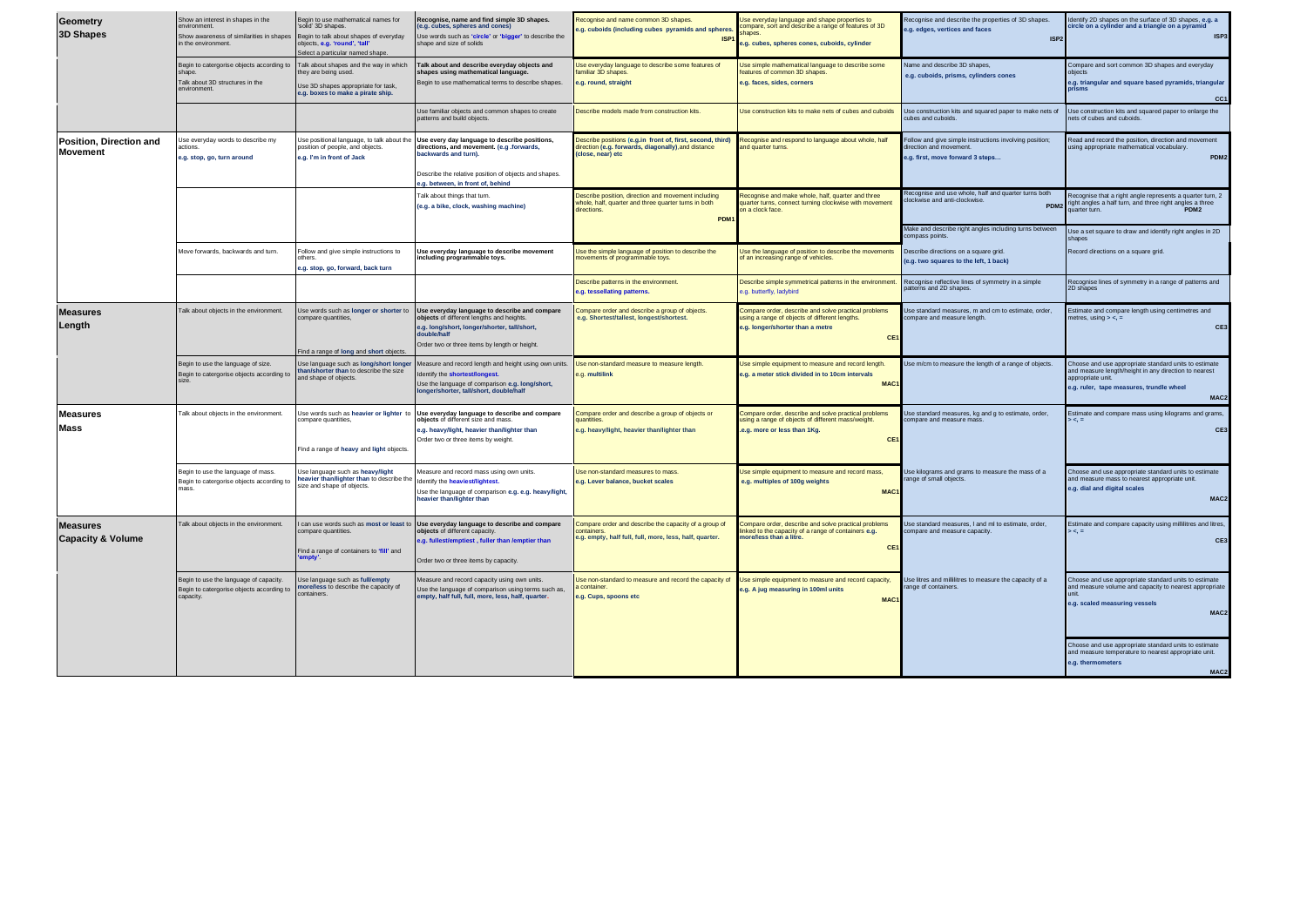| Geometry<br><b>3D Shapes</b>                    | Show an interest in shapes in the<br>environment.<br>Show awareness of similarities in shapes<br>in the environment. | Begin to use mathematical names for<br>'solid' 3D shapes.<br>Begin to talk about shapes of everyday<br>objects, e.g. 'round', 'tall'<br>elect a particular named shape. | Recognise, name and find simple 3D shapes.<br>(e.g. cubes, spheres and cones)<br>Jse words such as 'circle' or 'bigger' to describe the<br>shape and size of solids                         | Recognise and name common 3D shapes.<br>e.g. cuboids (including cubes pyramids and spheres<br><b>ISP</b>                                       | se everyday language and shape properties to<br>ompare, sort and describe a range of features of 3D<br>hapes<br>1.g. cubes, spheres cones, cuboids, cylinder | Recognise and describe the properties of 3D shapes.<br>e.g. edges, vertices and faces<br>ISP:                          | dentify 2D shapes on the surface of 3D shapes, e.g. a<br>tircle on a cylinder and a triangle on a pyramid<br>ISP <sub>3</sub>                                                                       |
|-------------------------------------------------|----------------------------------------------------------------------------------------------------------------------|-------------------------------------------------------------------------------------------------------------------------------------------------------------------------|---------------------------------------------------------------------------------------------------------------------------------------------------------------------------------------------|------------------------------------------------------------------------------------------------------------------------------------------------|--------------------------------------------------------------------------------------------------------------------------------------------------------------|------------------------------------------------------------------------------------------------------------------------|-----------------------------------------------------------------------------------------------------------------------------------------------------------------------------------------------------|
|                                                 | Begin to catergorise objects according to<br>shape.<br>Talk about 3D structures in the<br>environment.               | Talk about shapes and the way in which<br>hey are being used.<br>Use 3D shapes appropriate for task,<br>e.g. boxes to make a pirate ship.                               | alk about and describe everyday objects and<br>shapes using mathematical language.<br>Begin to use mathematical terms to describe shapes.                                                   | Use everyday language to describe some features of<br>familiar 3D shapes.<br>e.g. round, straight                                              | Jse simple mathematical language to describe some<br>features of common 3D shapes.<br>e.g. faces, sides, corners                                             | Name and describe 3D shapes.<br>e.g. cuboids, prisms, cylinders cones                                                  | Compare and sort common 3D shapes and everyday<br>obiects<br>e.g. triangular and square based pyramids, triangular<br>prisms<br>CC1                                                                 |
|                                                 |                                                                                                                      |                                                                                                                                                                         | Jse familiar objects and common shapes to create<br>patterns and build objects.                                                                                                             | Describe models made from construction kits.                                                                                                   | Jse construction kits to make nets of cubes and cuboids                                                                                                      | Use construction kits and squared paper to make nets of<br>cubes and cuboids.                                          | Use construction kits and squared paper to enlarge the<br>ets of cubes and cuboids.                                                                                                                 |
| Position, Direction and<br><b>Movement</b>      | Use everyday words to describe my<br>e.g. stop, go, turn around                                                      | Use positional language, to talk about the<br>osition of people, and objects.<br>e.g. I'm in front of Jack                                                              | Jse every day language to describe positions,<br>directions, and movement. (e.g. forwards,<br>backwards and turn).<br>Describe the relative position of objects and shapes.                 | Describe positions (e.g.in front of, first, second, third)<br>direction (e.g. forwards, diagonally), and distance<br>(close, near) etc         | Recognise and respond to language about whole, half<br>and quarter turns                                                                                     | Follow and give simple instructions involving position;<br>direction and movement.<br>e.g. first, move forward 3 steps | Read and record the position, direction and movement<br>ising appropriate mathematical vocabulary.<br>PDM <sub>2</sub>                                                                              |
|                                                 |                                                                                                                      |                                                                                                                                                                         | a.a. between, in front of, behind<br>alk about things that turn.<br>(e.g. a bike, clock, washing machine)                                                                                   | Describe position, direction and movement including<br>whole, half, quarter and three quarter turns in both<br>directions.<br>PDM <sub>1</sub> | Recognise and make whole, half, quarter and three<br>quarter turns, connect turning clockwise with movement<br>n a clock face.                               | Recognise and use whole, half and quarter turns both<br>dockwise and anti-clockwise<br>PDM <sub>2</sub>                | Recognise that a right angle represents a quarter turn, 2<br>ight angles a half turn, and three right angles a three<br>PDM <sub>2</sub><br>uarter turn.                                            |
|                                                 |                                                                                                                      |                                                                                                                                                                         |                                                                                                                                                                                             |                                                                                                                                                |                                                                                                                                                              | Make and describe right angles including turns between<br>compass points.                                              | Use a set square to draw and identify right angles in 2D<br>shanes                                                                                                                                  |
|                                                 | Move forwards, backwards and turn                                                                                    | Follow and give simple instructions to<br>others.<br>e.g. stop, go, forward, back turn                                                                                  | <b>Jse everyday language to describe movement</b><br>including programmable toys.                                                                                                           | Use the simple language of position to describe the<br>novements of programmable toys.                                                         | Use the language of position to describe the movements<br>of an increasing range of vehicles.                                                                | Describe directions on a square grid.<br>(e.g. two squares to the left, 1 back)                                        | Record directions on a square grid.                                                                                                                                                                 |
|                                                 |                                                                                                                      |                                                                                                                                                                         |                                                                                                                                                                                             | Describe patterns in the environment<br>e.g. tessellating patterns.                                                                            | Describe simple symmetrical patterns in the environment<br>e.g. butterfly, ladybird                                                                          | Recognise reflective lines of symmetry in a simple<br>patterns and 2D shapes.                                          | Recognise lines of symmetry in a range of patterns and<br>2D shapes                                                                                                                                 |
| <b>Measures</b><br>Length                       | Talk about objects in the environment.                                                                               | Use words such as longer or shorter t<br>ompare quantities                                                                                                              | Use everyday language to describe and compare<br>objects of different lengths and heights.<br>e.g. long/short, longer/shorter, tall/short,<br>Order two or three items by length or height. | Compare order and describe a group of objects.<br>e.g. Shortest/tallest, longest/shortest.                                                     | Compare order, describe and solve practical problems<br>using a range of objects of different lengths.<br>g. longer/shorter than a metre<br>CE1              | Use standard measures, m and cm to estimate, order,<br>compare and measure length                                      | Estimate and compare length using centimetres and<br>netres, using $>$ <, $=$<br>CE3                                                                                                                |
|                                                 | Begin to use the language of size.<br>Begin to catergorise objects according to                                      | ind a range of long and short objects.<br>Jse language such as long/short longer<br>than/shorter than to describe the size<br>and shape of objects.                     | leasure and record length and height using own units.<br>dentify the shortest/longest<br>Use the language of comparison e.g. long/short,<br>onger/shorter, tall/short, double/half          | Use non-standard measure to measure length.<br>9.g. multilink                                                                                  | Jse simple equipment to measure and record length.<br>e.g. a meter stick divided in to 10cm intervals<br><b>MAC</b>                                          | Use m/cm to measure the length of a range of objects.                                                                  | Choose and use appropriate standard units to estimate<br>and measure length/height in any direction to nearest<br>appropriate unit.<br>e.g. ruler, tape measures, trundle wheel<br>MAC <sub>2</sub> |
| <b>Measures</b><br>Mass                         | Talk about objects in the environment.                                                                               | Use words such as heavier or lighter<br>compare quantities,                                                                                                             | Use everyday language to describe and compare<br>objects of different size and mass<br>e.g. heavy/light, heavier than/lighter than<br>Order two or three items by weight.                   | Compare order and describe a group of objects or<br>quantities.<br>e.g. heavy/light, heavier than/lighter than                                 | ompare order, describe and solve practical problems<br>ising a range of objects of different mass/weight.<br>e.g. more or less than 1Kg.<br>CE1              | Jse standard measures, kg and g to estimate, order,<br>ompare and measure mass.                                        | Estimate and compare mass using kilograms and grams,<br>$\leq$ =<br>CE3                                                                                                                             |
|                                                 |                                                                                                                      | Find a range of heavy and light objects                                                                                                                                 |                                                                                                                                                                                             |                                                                                                                                                |                                                                                                                                                              |                                                                                                                        |                                                                                                                                                                                                     |
|                                                 | Begin to use the language of mass.<br>Begin to catergorise objects according to<br>ass                               | Use language such as heavy/light<br>heavier than/lighter than to describe the<br>size and shape of objects.                                                             | leasure and record mass using own units.<br>dentify the heaviest/lightest.<br>Jse the language of comparison e.g. e.g. heavy/light,<br>heavier than/lighter than                            | Use non-standard measures to mass<br>e.g. Lever balance, bucket scales                                                                         | Jse simple equipment to measure and record mass,<br>e.g. multiples of 100g weights<br>MAC1                                                                   | Use kilograms and grams to measure the mass of a<br>ange of small objects                                              | Choose and use appropriate standard units to estimate<br>and measure mass to nearest appropriate unit.<br>g. dial and digital scales<br>MAC <sub>2</sub>                                            |
| <b>Measures</b><br><b>Capacity &amp; Volume</b> | Talk about objects in the environment.                                                                               | can use words such as most or least<br>ompare quantities.<br>Find a range of containers to 'fill' and                                                                   | Use everyday language to describe and compare<br>objects of different capacity.<br>a.g. fullest/emptiest , fuller than /emptier than<br>Order two or three items by capacity.               | Compare order and describe the capacity of a group of<br>containers.<br>e.g. empty, half full, full, more, less, half, quarter.                | Compare order, describe and solve practical problems<br>nked to the capacity of a range of containers e.g.<br>nore/less than a litre.<br>CE1                 | Use standard measures, I and ml to estimate, order,<br>compare and measure capacity                                    | Estimate and compare capacity using millilitres and litres,<br>$\leq$ =<br>CE3                                                                                                                      |
|                                                 | Begin to use the language of capacity.<br>Begin to catergorise objects according to<br>capacity.                     | Use language such as full/empty<br>nore/less to describe the capacity of<br>ontainers.                                                                                  | leasure and record capacity using own units.<br>Use the language of comparison using terms such as,<br>empty, half full, full, more, less, half, quarter.                                   | Use non-standard to measure and record the capacity of<br>container<br>e.a. Cups, spoons etc                                                   | Use simple equipment to measure and record capacity,<br>1.g. A jug measuring in 100ml units<br><b>MAC</b>                                                    | Use litres and millilitres to measure the capacity of a<br>ange of containers.                                         | Choose and use appropriate standard units to estimate<br>ind measure volume and capacity to nearest appropriate<br>e.g. scaled measuring vessels<br>MAC <sub>2</sub>                                |
|                                                 |                                                                                                                      |                                                                                                                                                                         |                                                                                                                                                                                             |                                                                                                                                                |                                                                                                                                                              |                                                                                                                        | Choose and use appropriate standard units to estimate<br>and measure temperature to nearest appropriate unit.<br>e.g. thermometers<br>MAC <sub>2</sub>                                              |